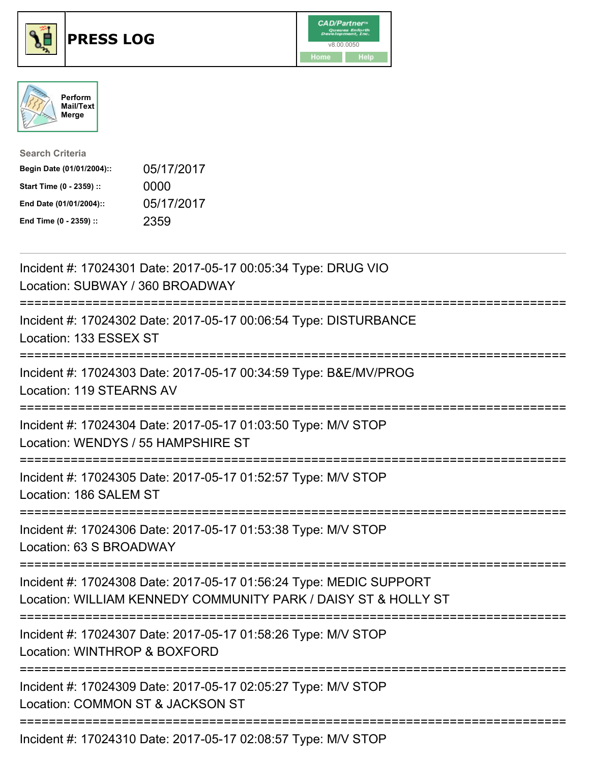





| <b>Search Criteria</b>    |            |
|---------------------------|------------|
| Begin Date (01/01/2004):: | 05/17/2017 |
| Start Time (0 - 2359) ::  | 0000       |
| End Date (01/01/2004)::   | 05/17/2017 |
| End Time (0 - 2359) ::    | 2359       |

| Incident #: 17024301 Date: 2017-05-17 00:05:34 Type: DRUG VIO<br>Location: SUBWAY / 360 BROADWAY                                     |
|--------------------------------------------------------------------------------------------------------------------------------------|
| Incident #: 17024302 Date: 2017-05-17 00:06:54 Type: DISTURBANCE<br>Location: 133 ESSEX ST                                           |
| Incident #: 17024303 Date: 2017-05-17 00:34:59 Type: B&E/MV/PROG<br>Location: 119 STEARNS AV                                         |
| Incident #: 17024304 Date: 2017-05-17 01:03:50 Type: M/V STOP<br>Location: WENDYS / 55 HAMPSHIRE ST                                  |
| Incident #: 17024305 Date: 2017-05-17 01:52:57 Type: M/V STOP<br>Location: 186 SALEM ST<br>-----------------                         |
| Incident #: 17024306 Date: 2017-05-17 01:53:38 Type: M/V STOP<br>Location: 63 S BROADWAY                                             |
| Incident #: 17024308 Date: 2017-05-17 01:56:24 Type: MEDIC SUPPORT<br>Location: WILLIAM KENNEDY COMMUNITY PARK / DAISY ST & HOLLY ST |
| Incident #: 17024307 Date: 2017-05-17 01:58:26 Type: M/V STOP<br>Location: WINTHROP & BOXFORD                                        |
| Incident #: 17024309 Date: 2017-05-17 02:05:27 Type: M/V STOP<br>Location: COMMON ST & JACKSON ST                                    |
| Incident #: 17024310 Date: 2017-05-17 02:08:57 Type: M/V STOP                                                                        |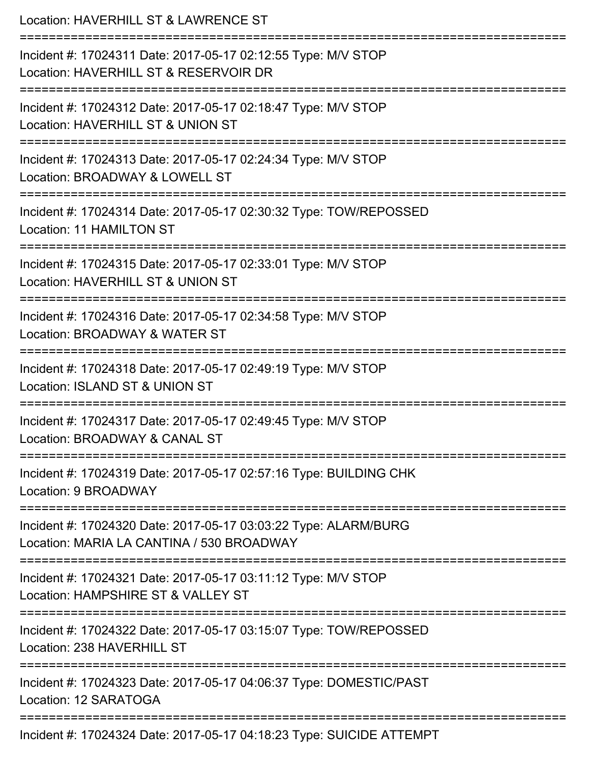| Location: HAVERHILL ST & LAWRENCE ST                                                                                                           |
|------------------------------------------------------------------------------------------------------------------------------------------------|
| Incident #: 17024311 Date: 2017-05-17 02:12:55 Type: M/V STOP<br>Location: HAVERHILL ST & RESERVOIR DR                                         |
| Incident #: 17024312 Date: 2017-05-17 02:18:47 Type: M/V STOP<br>Location: HAVERHILL ST & UNION ST                                             |
| Incident #: 17024313 Date: 2017-05-17 02:24:34 Type: M/V STOP<br>Location: BROADWAY & LOWELL ST<br>====================                        |
| Incident #: 17024314 Date: 2017-05-17 02:30:32 Type: TOW/REPOSSED<br><b>Location: 11 HAMILTON ST</b>                                           |
| Incident #: 17024315 Date: 2017-05-17 02:33:01 Type: M/V STOP<br>Location: HAVERHILL ST & UNION ST                                             |
| ============================<br>Incident #: 17024316 Date: 2017-05-17 02:34:58 Type: M/V STOP<br>Location: BROADWAY & WATER ST<br>------------ |
| Incident #: 17024318 Date: 2017-05-17 02:49:19 Type: M/V STOP<br>Location: ISLAND ST & UNION ST                                                |
| Incident #: 17024317 Date: 2017-05-17 02:49:45 Type: M/V STOP<br>Location: BROADWAY & CANAL ST                                                 |
| Incident #: 17024319 Date: 2017-05-17 02:57:16 Type: BUILDING CHK<br>Location: 9 BROADWAY                                                      |
| Incident #: 17024320 Date: 2017-05-17 03:03:22 Type: ALARM/BURG<br>Location: MARIA LA CANTINA / 530 BROADWAY                                   |
| Incident #: 17024321 Date: 2017-05-17 03:11:12 Type: M/V STOP<br>Location: HAMPSHIRE ST & VALLEY ST                                            |
| Incident #: 17024322 Date: 2017-05-17 03:15:07 Type: TOW/REPOSSED<br>Location: 238 HAVERHILL ST                                                |
| Incident #: 17024323 Date: 2017-05-17 04:06:37 Type: DOMESTIC/PAST<br>Location: 12 SARATOGA                                                    |
| Incident #: 17024324 Date: 2017-05-17 04:18:23 Type: SUICIDE ATTEMPT                                                                           |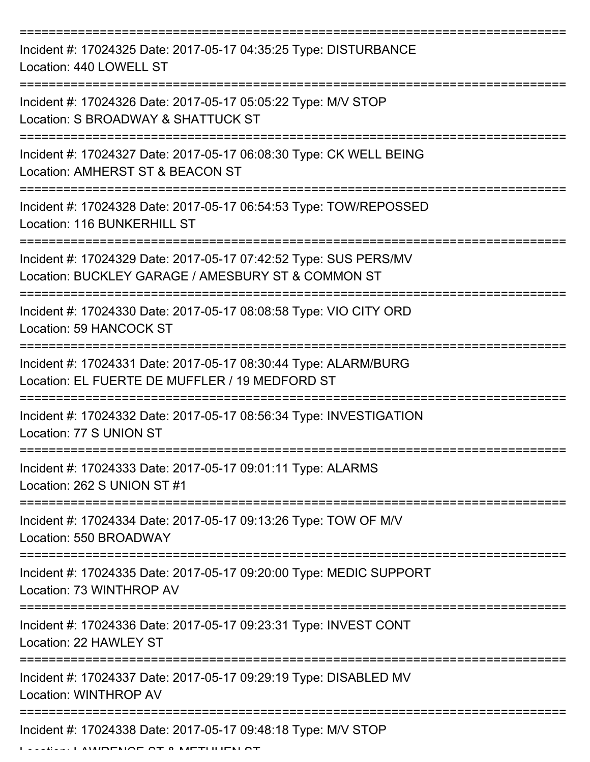| Incident #: 17024325 Date: 2017-05-17 04:35:25 Type: DISTURBANCE<br>Location: 440 LOWELL ST                            |
|------------------------------------------------------------------------------------------------------------------------|
| Incident #: 17024326 Date: 2017-05-17 05:05:22 Type: M/V STOP<br>Location: S BROADWAY & SHATTUCK ST                    |
| Incident #: 17024327 Date: 2017-05-17 06:08:30 Type: CK WELL BEING<br>Location: AMHERST ST & BEACON ST                 |
| Incident #: 17024328 Date: 2017-05-17 06:54:53 Type: TOW/REPOSSED<br>Location: 116 BUNKERHILL ST                       |
| Incident #: 17024329 Date: 2017-05-17 07:42:52 Type: SUS PERS/MV<br>Location: BUCKLEY GARAGE / AMESBURY ST & COMMON ST |
| Incident #: 17024330 Date: 2017-05-17 08:08:58 Type: VIO CITY ORD<br>Location: 59 HANCOCK ST                           |
| Incident #: 17024331 Date: 2017-05-17 08:30:44 Type: ALARM/BURG<br>Location: EL FUERTE DE MUFFLER / 19 MEDFORD ST      |
| Incident #: 17024332 Date: 2017-05-17 08:56:34 Type: INVESTIGATION<br>Location: 77 S UNION ST                          |
| Incident #: 17024333 Date: 2017-05-17 09:01:11 Type: ALARMS<br>Location: 262 S UNION ST #1                             |
| Incident #: 17024334 Date: 2017-05-17 09:13:26 Type: TOW OF M/V<br>Location: 550 BROADWAY                              |
| Incident #: 17024335 Date: 2017-05-17 09:20:00 Type: MEDIC SUPPORT<br>Location: 73 WINTHROP AV                         |
| Incident #: 17024336 Date: 2017-05-17 09:23:31 Type: INVEST CONT<br>Location: 22 HAWLEY ST                             |
| Incident #: 17024337 Date: 2017-05-17 09:29:19 Type: DISABLED MV<br>Location: WINTHROP AV                              |
| Incident #: 17024338 Date: 2017-05-17 09:48:18 Type: M/V STOP                                                          |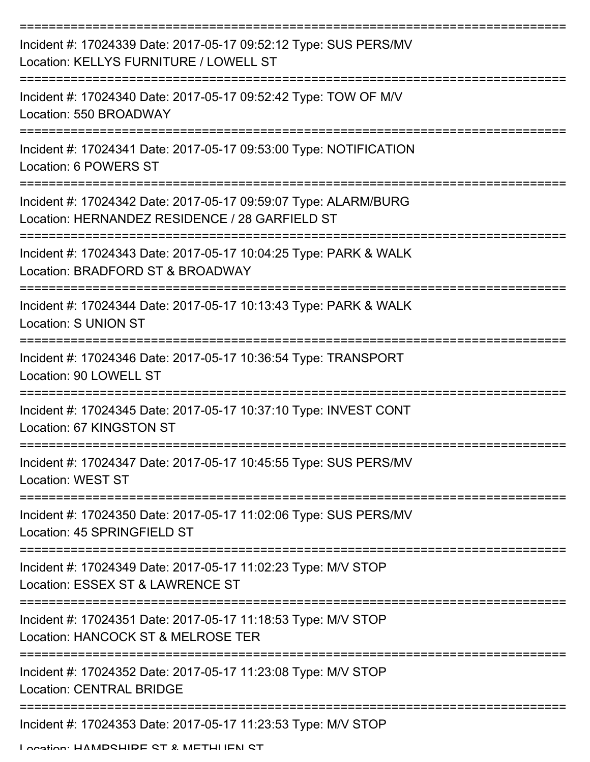| Incident #: 17024339 Date: 2017-05-17 09:52:12 Type: SUS PERS/MV<br>Location: KELLYS FURNITURE / LOWELL ST        |
|-------------------------------------------------------------------------------------------------------------------|
| Incident #: 17024340 Date: 2017-05-17 09:52:42 Type: TOW OF M/V<br>Location: 550 BROADWAY                         |
| Incident #: 17024341 Date: 2017-05-17 09:53:00 Type: NOTIFICATION<br>Location: 6 POWERS ST                        |
| Incident #: 17024342 Date: 2017-05-17 09:59:07 Type: ALARM/BURG<br>Location: HERNANDEZ RESIDENCE / 28 GARFIELD ST |
| Incident #: 17024343 Date: 2017-05-17 10:04:25 Type: PARK & WALK<br>Location: BRADFORD ST & BROADWAY              |
| Incident #: 17024344 Date: 2017-05-17 10:13:43 Type: PARK & WALK<br>Location: S UNION ST                          |
| Incident #: 17024346 Date: 2017-05-17 10:36:54 Type: TRANSPORT<br>Location: 90 LOWELL ST                          |
| Incident #: 17024345 Date: 2017-05-17 10:37:10 Type: INVEST CONT<br>Location: 67 KINGSTON ST                      |
| Incident #: 17024347 Date: 2017-05-17 10:45:55 Type: SUS PERS/MV<br><b>Location: WEST ST</b>                      |
| Incident #: 17024350 Date: 2017-05-17 11:02:06 Type: SUS PERS/MV<br>Location: 45 SPRINGFIELD ST                   |
| Incident #: 17024349 Date: 2017-05-17 11:02:23 Type: M/V STOP<br>Location: ESSEX ST & LAWRENCE ST                 |
| Incident #: 17024351 Date: 2017-05-17 11:18:53 Type: M/V STOP<br>Location: HANCOCK ST & MELROSE TER               |
| Incident #: 17024352 Date: 2017-05-17 11:23:08 Type: M/V STOP<br><b>Location: CENTRAL BRIDGE</b>                  |
| Incident #: 17024353 Date: 2017-05-17 11:23:53 Type: M/V STOP                                                     |

Location: HAMPSHIPE ST & METHHEN ST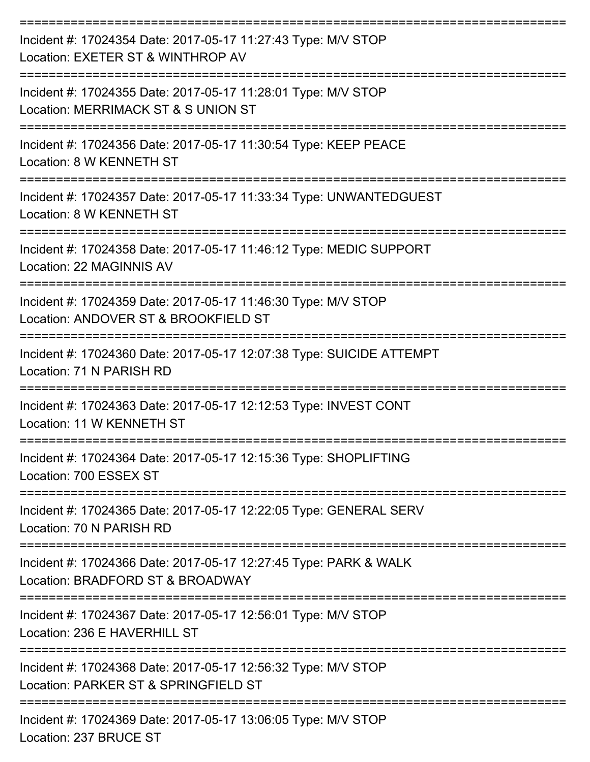| Incident #: 17024354 Date: 2017-05-17 11:27:43 Type: M/V STOP<br>Location: EXETER ST & WINTHROP AV    |
|-------------------------------------------------------------------------------------------------------|
| Incident #: 17024355 Date: 2017-05-17 11:28:01 Type: M/V STOP<br>Location: MERRIMACK ST & S UNION ST  |
| Incident #: 17024356 Date: 2017-05-17 11:30:54 Type: KEEP PEACE<br>Location: 8 W KENNETH ST           |
| Incident #: 17024357 Date: 2017-05-17 11:33:34 Type: UNWANTEDGUEST<br>Location: 8 W KENNETH ST        |
| Incident #: 17024358 Date: 2017-05-17 11:46:12 Type: MEDIC SUPPORT<br>Location: 22 MAGINNIS AV        |
| Incident #: 17024359 Date: 2017-05-17 11:46:30 Type: M/V STOP<br>Location: ANDOVER ST & BROOKFIELD ST |
| Incident #: 17024360 Date: 2017-05-17 12:07:38 Type: SUICIDE ATTEMPT<br>Location: 71 N PARISH RD      |
| Incident #: 17024363 Date: 2017-05-17 12:12:53 Type: INVEST CONT<br>Location: 11 W KENNETH ST         |
| Incident #: 17024364 Date: 2017-05-17 12:15:36 Type: SHOPLIFTING<br>Location: 700 ESSEX ST            |
| Incident #: 17024365 Date: 2017-05-17 12:22:05 Type: GENERAL SERV<br>Location: 70 N PARISH RD         |
| Incident #: 17024366 Date: 2017-05-17 12:27:45 Type: PARK & WALK<br>Location: BRADFORD ST & BROADWAY  |
| Incident #: 17024367 Date: 2017-05-17 12:56:01 Type: M/V STOP<br>Location: 236 E HAVERHILL ST         |
| Incident #: 17024368 Date: 2017-05-17 12:56:32 Type: M/V STOP<br>Location: PARKER ST & SPRINGFIELD ST |
| Incident #: 17024369 Date: 2017-05-17 13:06:05 Type: M/V STOP                                         |

Location: 237 BRUCE ST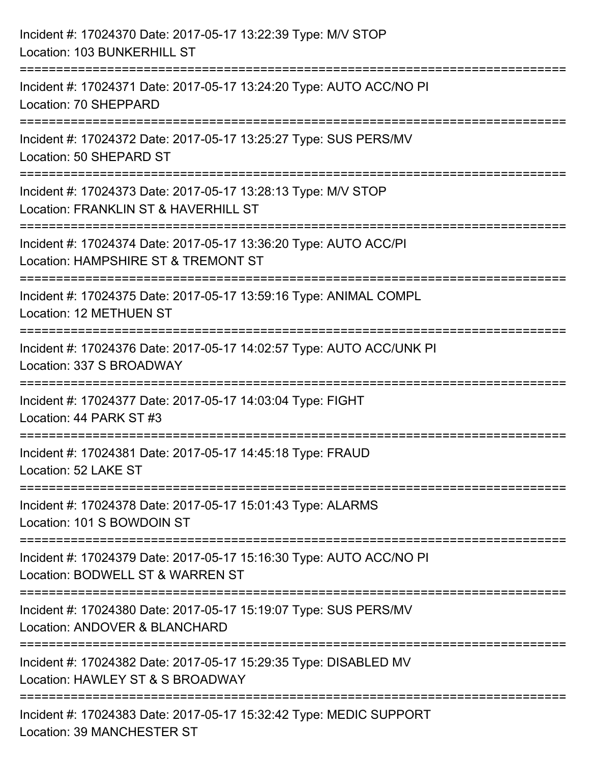| Incident #: 17024370 Date: 2017-05-17 13:22:39 Type: M/V STOP<br>Location: 103 BUNKERHILL ST                                   |
|--------------------------------------------------------------------------------------------------------------------------------|
| ==========================<br>Incident #: 17024371 Date: 2017-05-17 13:24:20 Type: AUTO ACC/NO PI<br>Location: 70 SHEPPARD     |
| Incident #: 17024372 Date: 2017-05-17 13:25:27 Type: SUS PERS/MV<br>Location: 50 SHEPARD ST<br>=============================== |
| Incident #: 17024373 Date: 2017-05-17 13:28:13 Type: M/V STOP<br>Location: FRANKLIN ST & HAVERHILL ST<br>:===================  |
| Incident #: 17024374 Date: 2017-05-17 13:36:20 Type: AUTO ACC/PI<br>Location: HAMPSHIRE ST & TREMONT ST                        |
| Incident #: 17024375 Date: 2017-05-17 13:59:16 Type: ANIMAL COMPL<br>Location: 12 METHUEN ST                                   |
| Incident #: 17024376 Date: 2017-05-17 14:02:57 Type: AUTO ACC/UNK PI<br>Location: 337 S BROADWAY                               |
| Incident #: 17024377 Date: 2017-05-17 14:03:04 Type: FIGHT<br>Location: 44 PARK ST #3                                          |
| Incident #: 17024381 Date: 2017-05-17 14:45:18 Type: FRAUD<br>Location: 52 LAKE ST                                             |
| Incident #: 17024378 Date: 2017-05-17 15:01:43 Type: ALARMS<br>Location: 101 S BOWDOIN ST                                      |
| Incident #: 17024379 Date: 2017-05-17 15:16:30 Type: AUTO ACC/NO PI<br>Location: BODWELL ST & WARREN ST                        |
| Incident #: 17024380 Date: 2017-05-17 15:19:07 Type: SUS PERS/MV<br>Location: ANDOVER & BLANCHARD                              |
| Incident #: 17024382 Date: 2017-05-17 15:29:35 Type: DISABLED MV<br>Location: HAWLEY ST & S BROADWAY                           |
| Incident #: 17024383 Date: 2017-05-17 15:32:42 Type: MEDIC SUPPORT<br><b>Location: 39 MANCHESTER ST</b>                        |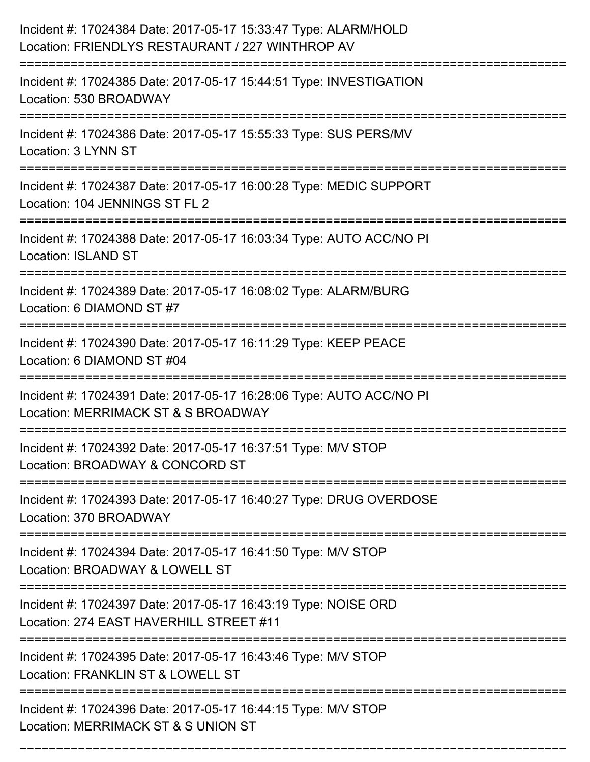| Incident #: 17024384 Date: 2017-05-17 15:33:47 Type: ALARM/HOLD<br>Location: FRIENDLYS RESTAURANT / 227 WINTHROP AV            |
|--------------------------------------------------------------------------------------------------------------------------------|
| Incident #: 17024385 Date: 2017-05-17 15:44:51 Type: INVESTIGATION<br>Location: 530 BROADWAY                                   |
| Incident #: 17024386 Date: 2017-05-17 15:55:33 Type: SUS PERS/MV<br>Location: 3 LYNN ST<br>:================================== |
| Incident #: 17024387 Date: 2017-05-17 16:00:28 Type: MEDIC SUPPORT<br>Location: 104 JENNINGS ST FL 2                           |
| Incident #: 17024388 Date: 2017-05-17 16:03:34 Type: AUTO ACC/NO PI<br><b>Location: ISLAND ST</b>                              |
| Incident #: 17024389 Date: 2017-05-17 16:08:02 Type: ALARM/BURG<br>Location: 6 DIAMOND ST #7                                   |
| Incident #: 17024390 Date: 2017-05-17 16:11:29 Type: KEEP PEACE<br>Location: 6 DIAMOND ST #04<br>.===================          |
| Incident #: 17024391 Date: 2017-05-17 16:28:06 Type: AUTO ACC/NO PI<br>Location: MERRIMACK ST & S BROADWAY                     |
| Incident #: 17024392 Date: 2017-05-17 16:37:51 Type: M/V STOP<br>Location: BROADWAY & CONCORD ST                               |
| Incident #: 17024393 Date: 2017-05-17 16:40:27 Type: DRUG OVERDOSE<br>Location: 370 BROADWAY                                   |
| Incident #: 17024394 Date: 2017-05-17 16:41:50 Type: M/V STOP<br>Location: BROADWAY & LOWELL ST                                |
| Incident #: 17024397 Date: 2017-05-17 16:43:19 Type: NOISE ORD<br>Location: 274 EAST HAVERHILL STREET #11                      |
| Incident #: 17024395 Date: 2017-05-17 16:43:46 Type: M/V STOP<br>Location: FRANKLIN ST & LOWELL ST                             |
| Incident #: 17024396 Date: 2017-05-17 16:44:15 Type: M/V STOP<br>Location: MERRIMACK ST & S UNION ST                           |

===========================================================================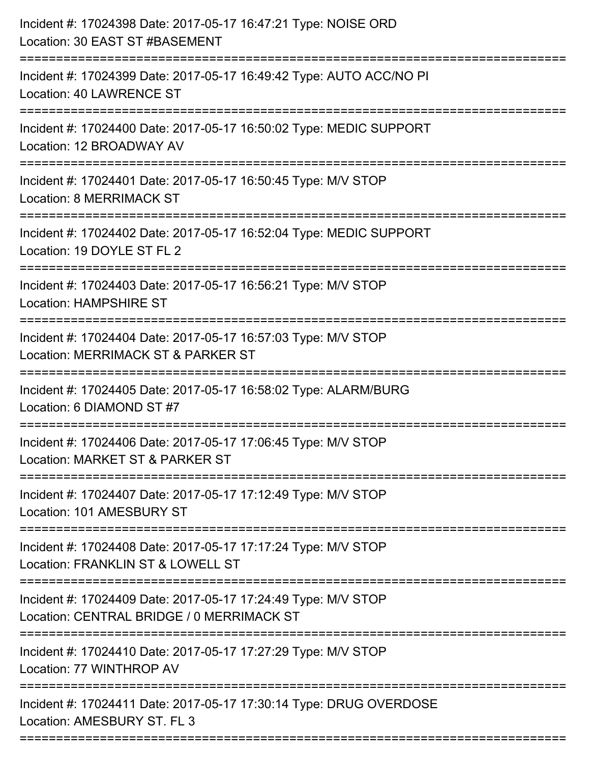| Incident #: 17024398 Date: 2017-05-17 16:47:21 Type: NOISE ORD<br>Location: 30 EAST ST #BASEMENT<br>----------------------- |
|-----------------------------------------------------------------------------------------------------------------------------|
| Incident #: 17024399 Date: 2017-05-17 16:49:42 Type: AUTO ACC/NO PI<br>Location: 40 LAWRENCE ST                             |
| Incident #: 17024400 Date: 2017-05-17 16:50:02 Type: MEDIC SUPPORT<br>Location: 12 BROADWAY AV<br>:=======================  |
| Incident #: 17024401 Date: 2017-05-17 16:50:45 Type: M/V STOP<br>Location: 8 MERRIMACK ST                                   |
| Incident #: 17024402 Date: 2017-05-17 16:52:04 Type: MEDIC SUPPORT<br>Location: 19 DOYLE ST FL 2                            |
| Incident #: 17024403 Date: 2017-05-17 16:56:21 Type: M/V STOP<br><b>Location: HAMPSHIRE ST</b>                              |
| Incident #: 17024404 Date: 2017-05-17 16:57:03 Type: M/V STOP<br>Location: MERRIMACK ST & PARKER ST                         |
| Incident #: 17024405 Date: 2017-05-17 16:58:02 Type: ALARM/BURG<br>Location: 6 DIAMOND ST #7                                |
| Incident #: 17024406 Date: 2017-05-17 17:06:45 Type: M/V STOP<br>Location: MARKET ST & PARKER ST                            |
| Incident #: 17024407 Date: 2017-05-17 17:12:49 Type: M/V STOP<br>Location: 101 AMESBURY ST                                  |
| Incident #: 17024408 Date: 2017-05-17 17:17:24 Type: M/V STOP<br>Location: FRANKLIN ST & LOWELL ST                          |
| Incident #: 17024409 Date: 2017-05-17 17:24:49 Type: M/V STOP<br>Location: CENTRAL BRIDGE / 0 MERRIMACK ST                  |
| Incident #: 17024410 Date: 2017-05-17 17:27:29 Type: M/V STOP<br>Location: 77 WINTHROP AV                                   |
| Incident #: 17024411 Date: 2017-05-17 17:30:14 Type: DRUG OVERDOSE<br>Location: AMESBURY ST. FL 3                           |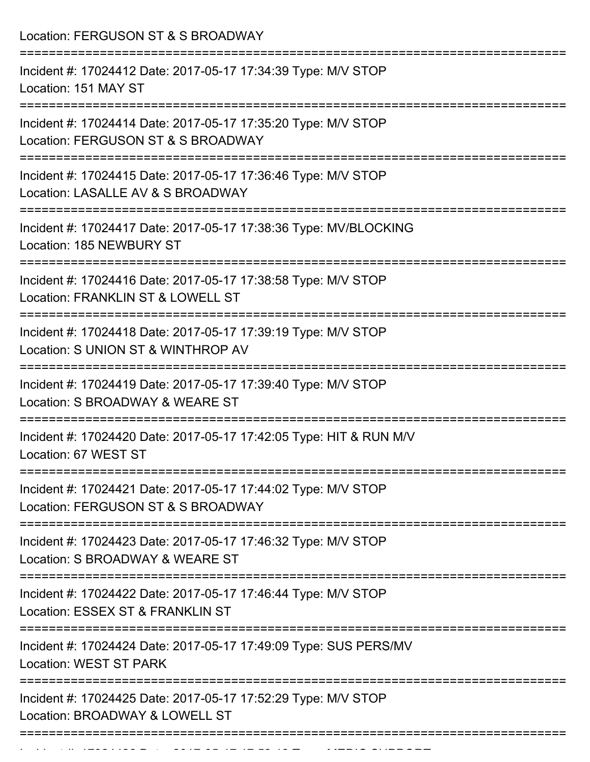Location: FERGUSON ST & S BROADWAY =========================================================================== Incident #: 17024412 Date: 2017-05-17 17:34:39 Type: M/V STOP Location: 151 MAY ST =========================================================================== Incident #: 17024414 Date: 2017-05-17 17:35:20 Type: M/V STOP Location: FERGUSON ST & S BROADWAY =========================================================================== Incident #: 17024415 Date: 2017-05-17 17:36:46 Type: M/V STOP Location: LASALLE AV & S BROADWAY =========================================================================== Incident #: 17024417 Date: 2017-05-17 17:38:36 Type: MV/BLOCKING Location: 185 NEWBURY ST =========================================================================== Incident #: 17024416 Date: 2017-05-17 17:38:58 Type: M/V STOP Location: FRANKLIN ST & LOWELL ST =========================================================================== Incident #: 17024418 Date: 2017-05-17 17:39:19 Type: M/V STOP Location: S UNION ST & WINTHROP AV =========================================================================== Incident #: 17024419 Date: 2017-05-17 17:39:40 Type: M/V STOP Location: S BROADWAY & WEARE ST =========================================================================== Incident #: 17024420 Date: 2017-05-17 17:42:05 Type: HIT & RUN M/V Location: 67 WEST ST =========================================================================== Incident #: 17024421 Date: 2017-05-17 17:44:02 Type: M/V STOP Location: FERGUSON ST & S BROADWAY =========================================================================== Incident #: 17024423 Date: 2017-05-17 17:46:32 Type: M/V STOP Location: S BROADWAY & WEARE ST =========================================================================== Incident #: 17024422 Date: 2017-05-17 17:46:44 Type: M/V STOP Location: ESSEX ST & FRANKLIN ST =========================================================================== Incident #: 17024424 Date: 2017-05-17 17:49:09 Type: SUS PERS/MV Location: WEST ST PARK =========================================================================== Incident #: 17024425 Date: 2017-05-17 17:52:29 Type: M/V STOP Location: BROADWAY & LOWELL ST ===========================================================================

Incident #: 17024426 Date: 2017 05 170246 Date: 2017 05 17:59:13 Type: MEDIC SUPPORT<br>.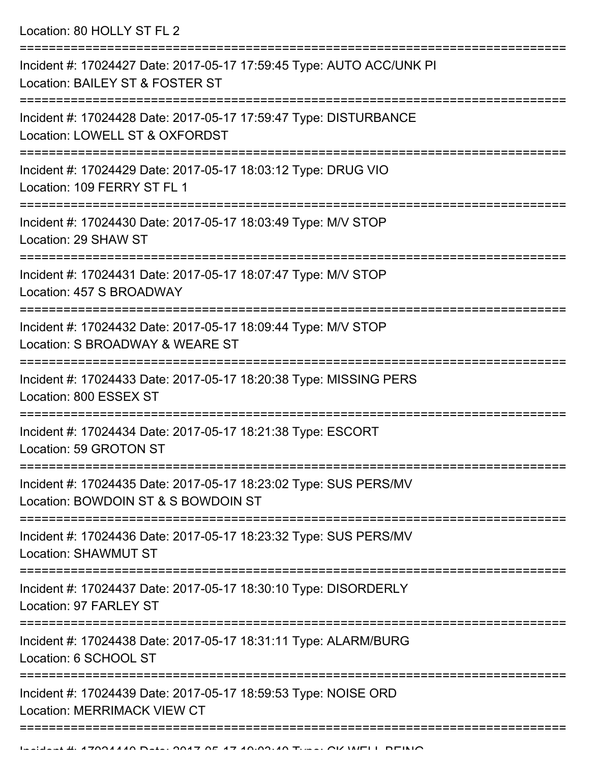Location: 80 HOLLY ST FL 2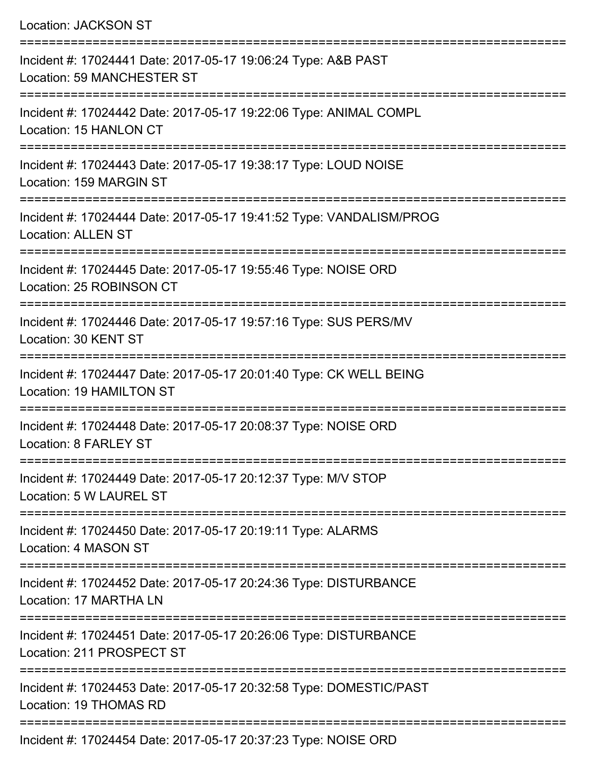| Incident #: 17024441 Date: 2017-05-17 19:06:24 Type: A&B PAST<br><b>Location: 59 MANCHESTER ST</b><br>---------------------<br>Incident #: 17024442 Date: 2017-05-17 19:22:06 Type: ANIMAL COMPL<br>Location: 15 HANLON CT<br>Incident #: 17024443 Date: 2017-05-17 19:38:17 Type: LOUD NOISE<br>Location: 159 MARGIN ST<br>Incident #: 17024444 Date: 2017-05-17 19:41:52 Type: VANDALISM/PROG<br><b>Location: ALLEN ST</b><br>Incident #: 17024445 Date: 2017-05-17 19:55:46 Type: NOISE ORD<br>Location: 25 ROBINSON CT<br>Incident #: 17024446 Date: 2017-05-17 19:57:16 Type: SUS PERS/MV<br>Location: 30 KENT ST<br>Incident #: 17024447 Date: 2017-05-17 20:01:40 Type: CK WELL BEING<br>Location: 19 HAMILTON ST<br>Incident #: 17024448 Date: 2017-05-17 20:08:37 Type: NOISE ORD<br>Location: 8 FARLEY ST<br>Incident #: 17024449 Date: 2017-05-17 20:12:37 Type: M/V STOP<br>Location: 5 W LAUREL ST<br>Incident #: 17024450 Date: 2017-05-17 20:19:11 Type: ALARMS<br>Location: 4 MASON ST<br>Incident #: 17024452 Date: 2017-05-17 20:24:36 Type: DISTURBANCE<br>Location: 17 MARTHA LN<br>Incident #: 17024451 Date: 2017-05-17 20:26:06 Type: DISTURBANCE<br>Location: 211 PROSPECT ST<br>Incident #: 17024453 Date: 2017-05-17 20:32:58 Type: DOMESTIC/PAST<br>Location: 19 THOMAS RD | <b>Location: JACKSON ST</b> |
|-------------------------------------------------------------------------------------------------------------------------------------------------------------------------------------------------------------------------------------------------------------------------------------------------------------------------------------------------------------------------------------------------------------------------------------------------------------------------------------------------------------------------------------------------------------------------------------------------------------------------------------------------------------------------------------------------------------------------------------------------------------------------------------------------------------------------------------------------------------------------------------------------------------------------------------------------------------------------------------------------------------------------------------------------------------------------------------------------------------------------------------------------------------------------------------------------------------------------------------------------------------------------------------------------------|-----------------------------|
|                                                                                                                                                                                                                                                                                                                                                                                                                                                                                                                                                                                                                                                                                                                                                                                                                                                                                                                                                                                                                                                                                                                                                                                                                                                                                                       |                             |
|                                                                                                                                                                                                                                                                                                                                                                                                                                                                                                                                                                                                                                                                                                                                                                                                                                                                                                                                                                                                                                                                                                                                                                                                                                                                                                       |                             |
|                                                                                                                                                                                                                                                                                                                                                                                                                                                                                                                                                                                                                                                                                                                                                                                                                                                                                                                                                                                                                                                                                                                                                                                                                                                                                                       |                             |
|                                                                                                                                                                                                                                                                                                                                                                                                                                                                                                                                                                                                                                                                                                                                                                                                                                                                                                                                                                                                                                                                                                                                                                                                                                                                                                       |                             |
|                                                                                                                                                                                                                                                                                                                                                                                                                                                                                                                                                                                                                                                                                                                                                                                                                                                                                                                                                                                                                                                                                                                                                                                                                                                                                                       |                             |
|                                                                                                                                                                                                                                                                                                                                                                                                                                                                                                                                                                                                                                                                                                                                                                                                                                                                                                                                                                                                                                                                                                                                                                                                                                                                                                       |                             |
|                                                                                                                                                                                                                                                                                                                                                                                                                                                                                                                                                                                                                                                                                                                                                                                                                                                                                                                                                                                                                                                                                                                                                                                                                                                                                                       |                             |
|                                                                                                                                                                                                                                                                                                                                                                                                                                                                                                                                                                                                                                                                                                                                                                                                                                                                                                                                                                                                                                                                                                                                                                                                                                                                                                       |                             |
|                                                                                                                                                                                                                                                                                                                                                                                                                                                                                                                                                                                                                                                                                                                                                                                                                                                                                                                                                                                                                                                                                                                                                                                                                                                                                                       |                             |
|                                                                                                                                                                                                                                                                                                                                                                                                                                                                                                                                                                                                                                                                                                                                                                                                                                                                                                                                                                                                                                                                                                                                                                                                                                                                                                       |                             |
|                                                                                                                                                                                                                                                                                                                                                                                                                                                                                                                                                                                                                                                                                                                                                                                                                                                                                                                                                                                                                                                                                                                                                                                                                                                                                                       |                             |
|                                                                                                                                                                                                                                                                                                                                                                                                                                                                                                                                                                                                                                                                                                                                                                                                                                                                                                                                                                                                                                                                                                                                                                                                                                                                                                       |                             |
|                                                                                                                                                                                                                                                                                                                                                                                                                                                                                                                                                                                                                                                                                                                                                                                                                                                                                                                                                                                                                                                                                                                                                                                                                                                                                                       |                             |

Incident #: 17024454 Date: 2017-05-17 20:37:23 Type: NOISE ORD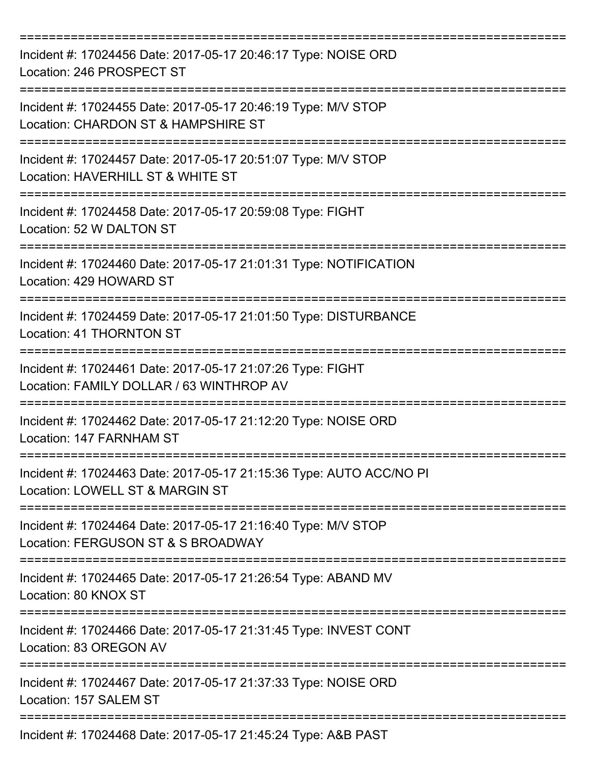| Incident #: 17024456 Date: 2017-05-17 20:46:17 Type: NOISE ORD<br>Location: 246 PROSPECT ST            |
|--------------------------------------------------------------------------------------------------------|
| Incident #: 17024455 Date: 2017-05-17 20:46:19 Type: M/V STOP<br>Location: CHARDON ST & HAMPSHIRE ST   |
| Incident #: 17024457 Date: 2017-05-17 20:51:07 Type: M/V STOP<br>Location: HAVERHILL ST & WHITE ST     |
| Incident #: 17024458 Date: 2017-05-17 20:59:08 Type: FIGHT<br>Location: 52 W DALTON ST                 |
| Incident #: 17024460 Date: 2017-05-17 21:01:31 Type: NOTIFICATION<br>Location: 429 HOWARD ST           |
| Incident #: 17024459 Date: 2017-05-17 21:01:50 Type: DISTURBANCE<br><b>Location: 41 THORNTON ST</b>    |
| Incident #: 17024461 Date: 2017-05-17 21:07:26 Type: FIGHT<br>Location: FAMILY DOLLAR / 63 WINTHROP AV |
| Incident #: 17024462 Date: 2017-05-17 21:12:20 Type: NOISE ORD<br>Location: 147 FARNHAM ST             |
| Incident #: 17024463 Date: 2017-05-17 21:15:36 Type: AUTO ACC/NO PI<br>Location: LOWELL ST & MARGIN ST |
| Incident #: 17024464 Date: 2017-05-17 21:16:40 Type: M/V STOP<br>Location: FERGUSON ST & S BROADWAY    |
| Incident #: 17024465 Date: 2017-05-17 21:26:54 Type: ABAND MV<br>Location: 80 KNOX ST                  |
| Incident #: 17024466 Date: 2017-05-17 21:31:45 Type: INVEST CONT<br>Location: 83 OREGON AV             |
| Incident #: 17024467 Date: 2017-05-17 21:37:33 Type: NOISE ORD<br>Location: 157 SALEM ST               |
| Incident #: 17024468 Date: 2017-05-17 21:45:24 Type: A&B PAST                                          |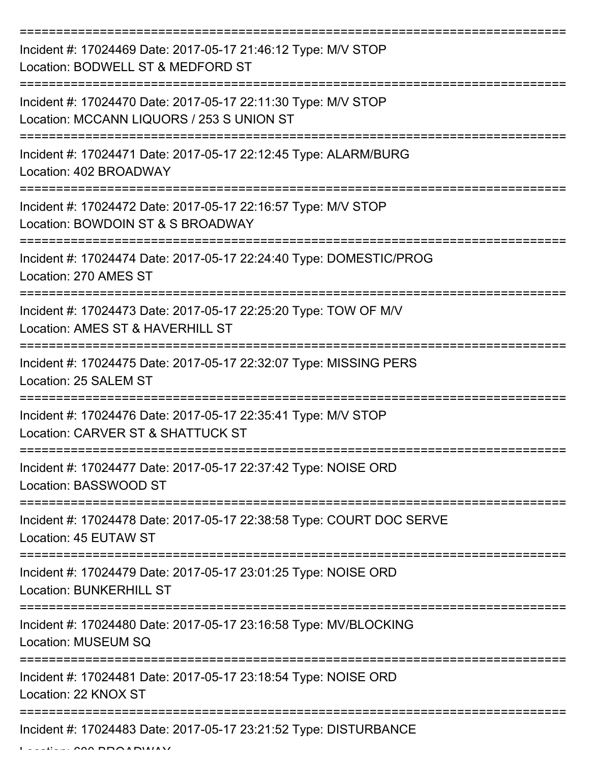| Incident #: 17024469 Date: 2017-05-17 21:46:12 Type: M/V STOP<br>Location: BODWELL ST & MEDFORD ST         |
|------------------------------------------------------------------------------------------------------------|
| Incident #: 17024470 Date: 2017-05-17 22:11:30 Type: M/V STOP<br>Location: MCCANN LIQUORS / 253 S UNION ST |
| Incident #: 17024471 Date: 2017-05-17 22:12:45 Type: ALARM/BURG<br>Location: 402 BROADWAY                  |
| Incident #: 17024472 Date: 2017-05-17 22:16:57 Type: M/V STOP<br>Location: BOWDOIN ST & S BROADWAY         |
| Incident #: 17024474 Date: 2017-05-17 22:24:40 Type: DOMESTIC/PROG<br>Location: 270 AMES ST                |
| Incident #: 17024473 Date: 2017-05-17 22:25:20 Type: TOW OF M/V<br>Location: AMES ST & HAVERHILL ST        |
| Incident #: 17024475 Date: 2017-05-17 22:32:07 Type: MISSING PERS<br>Location: 25 SALEM ST                 |
| Incident #: 17024476 Date: 2017-05-17 22:35:41 Type: M/V STOP<br>Location: CARVER ST & SHATTUCK ST         |
| Incident #: 17024477 Date: 2017-05-17 22:37:42 Type: NOISE ORD<br>Location: BASSWOOD ST                    |
| Incident #: 17024478 Date: 2017-05-17 22:38:58 Type: COURT DOC SERVE<br>Location: 45 EUTAW ST              |
| Incident #: 17024479 Date: 2017-05-17 23:01:25 Type: NOISE ORD<br><b>Location: BUNKERHILL ST</b>           |
| Incident #: 17024480 Date: 2017-05-17 23:16:58 Type: MV/BLOCKING<br>Location: MUSEUM SQ                    |
| Incident #: 17024481 Date: 2017-05-17 23:18:54 Type: NOISE ORD<br>Location: 22 KNOX ST                     |
| Incident #: 17024483 Date: 2017-05-17 23:21:52 Type: DISTURBANCE                                           |